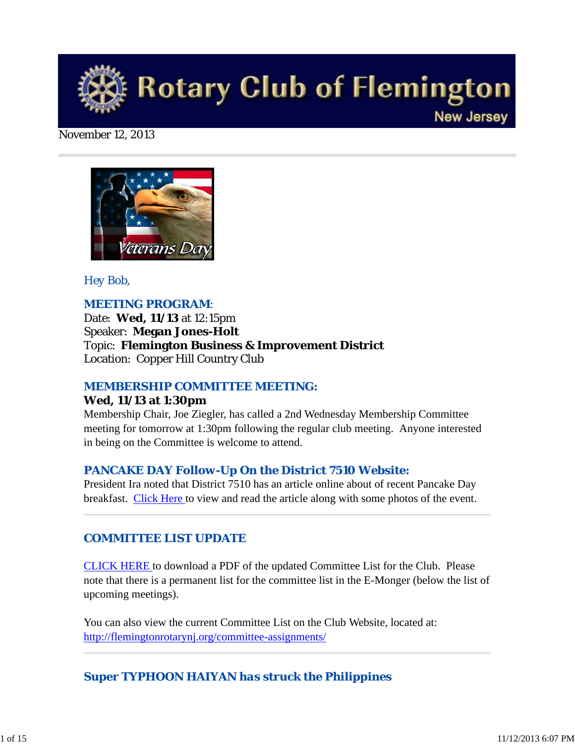

#### November 12, 2013



## *Hey Bob,*

## *MEETING PROGRAM*:

Date: **Wed, 11/13** at 12:15pm Speaker: **Megan Jones-Holt** Topic: **Flemington Business & Improvement District** Location: Copper Hill Country Club

## *MEMBERSHIP COMMITTEE MEETING:*

#### **Wed, 11/13 at 1:30pm**

Membership Chair, Joe Ziegler, has called a 2nd Wednesday Membership Committee meeting for tomorrow at 1:30pm following the regular club meeting. Anyone interested in being on the Committee is welcome to attend.

## *PANCAKE DAY Follow-Up On the District 7510 Website:*

President Ira noted that District 7510 has an article online about of recent Pancake Day breakfast. Click Here to view and read the article along with some photos of the event.

## *COMMITTEE LIST UPDATE*

CLICK HERE to download a PDF of the updated Committee List for the Club. Please note that there is a permanent list for the committee list in the E-Monger (below the list of upcoming meetings).

You can also view the current Committee List on the Club Website, located at: http://flemingtonrotarynj.org/committee-assignments/

# *Super TYPHOON HAIYAN has struck the Philippines*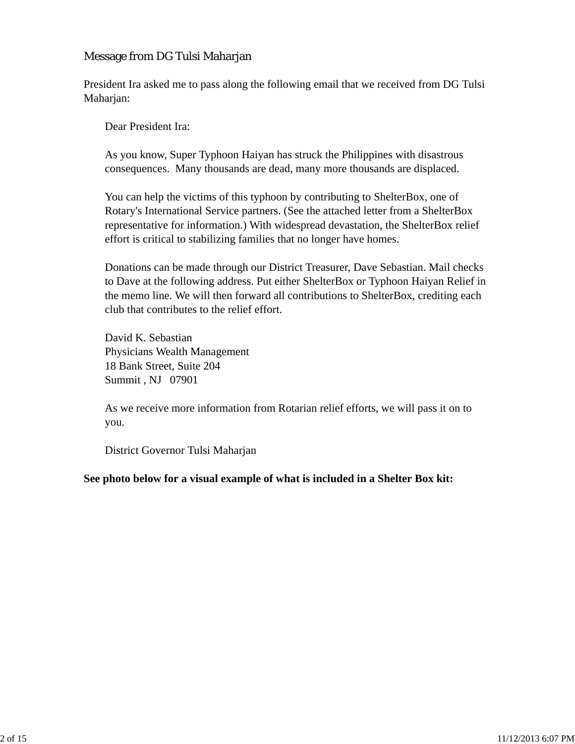## Message from DG Tulsi Maharjan

President Ira asked me to pass along the following email that we received from DG Tulsi Maharjan:

Dear President Ira:

As you know, Super Typhoon Haiyan has struck the Philippines with disastrous consequences. Many thousands are dead, many more thousands are displaced.

You can help the victims of this typhoon by contributing to ShelterBox, one of Rotary's International Service partners. (See the attached letter from a ShelterBox representative for information.) With widespread devastation, the ShelterBox relief effort is critical to stabilizing families that no longer have homes.

Donations can be made through our District Treasurer, Dave Sebastian. Mail checks to Dave at the following address. Put either ShelterBox or Typhoon Haiyan Relief in the memo line. We will then forward all contributions to ShelterBox, crediting each club that contributes to the relief effort.

David K. Sebastian Physicians Wealth Management 18 Bank Street, Suite 204 Summit , NJ 07901

As we receive more information from Rotarian relief efforts, we will pass it on to you.

District Governor Tulsi Maharjan

**See photo below for a visual example of what is included in a Shelter Box kit:**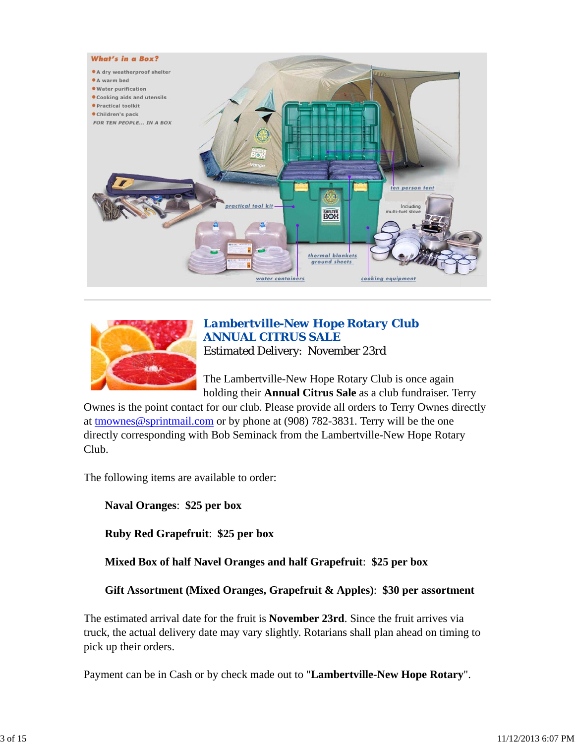



## *Lambertville-New Hope Rotary Club ANNUAL CITRUS SALE* Estimated Delivery: November 23rd

The Lambertville-New Hope Rotary Club is once again holding their **Annual Citrus Sale** as a club fundraiser. Terry

Ownes is the point contact for our club. Please provide all orders to Terry Ownes directly at tmownes@sprintmail.com or by phone at (908) 782-3831. Terry will be the one directly corresponding with Bob Seminack from the Lambertville-New Hope Rotary Club.

The following items are available to order:

**Naval Oranges**: **\$25 per box**

**Ruby Red Grapefruit**: **\$25 per box**

**Mixed Box of half Navel Oranges and half Grapefruit**: **\$25 per box**

**Gift Assortment (Mixed Oranges, Grapefruit & Apples)**: **\$30 per assortment**

The estimated arrival date for the fruit is **November 23rd**. Since the fruit arrives via truck, the actual delivery date may vary slightly. Rotarians shall plan ahead on timing to pick up their orders.

Payment can be in Cash or by check made out to "**Lambertville-New Hope Rotary**".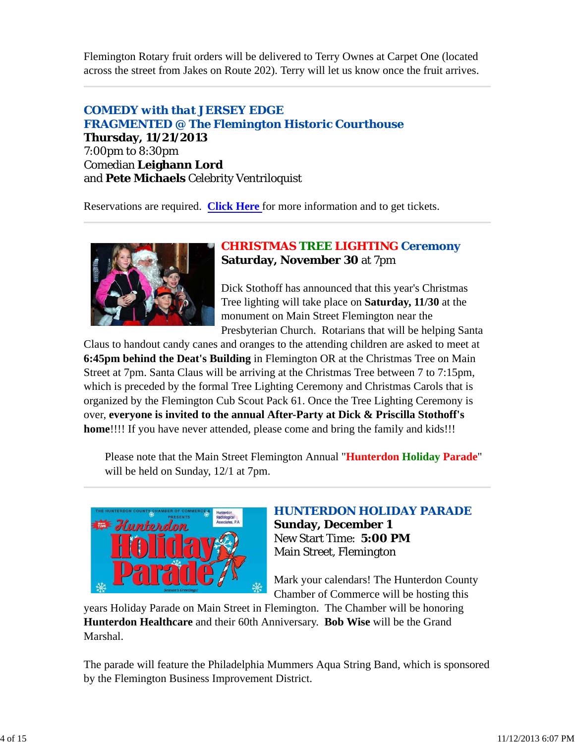Flemington Rotary fruit orders will be delivered to Terry Ownes at Carpet One (located across the street from Jakes on Route 202). Terry will let us know once the fruit arrives.

# *COMEDY with that JERSEY EDGE FRAGMENTED @ The Flemington Historic Courthouse*

**Thursday, 11/21/2013** 7:00pm to 8:30pm Comedian **Leighann Lord** and **Pete Michaels** Celebrity Ventriloquist

Reservations are required. **Click Here** for more information and to get tickets.



# *CHRISTMAS TREE LIGHTING Ceremony* **Saturday, November 30** at 7pm

Dick Stothoff has announced that this year's Christmas Tree lighting will take place on **Saturday, 11/30** at the monument on Main Street Flemington near the Presbyterian Church. Rotarians that will be helping Santa

Claus to handout candy canes and oranges to the attending children are asked to meet at **6:45pm behind the Deat's Building** in Flemington OR at the Christmas Tree on Main Street at 7pm. Santa Claus will be arriving at the Christmas Tree between 7 to 7:15pm, which is preceded by the formal Tree Lighting Ceremony and Christmas Carols that is organized by the Flemington Cub Scout Pack 61. Once the Tree Lighting Ceremony is over, **everyone is invited to the annual After-Party at Dick & Priscilla Stothoff's home**!!!! If you have never attended, please come and bring the family and kids!!!

Please note that the Main Street Flemington Annual "**Hunterdon Holiday Parade**" will be held on Sunday, 12/1 at 7pm.



## *HUNTERDON HOLIDAY PARADE* **Sunday, December 1** New Start Time: **5:00 PM**

Main Street, Flemington

Mark your calendars! The Hunterdon County Chamber of Commerce will be hosting this

years Holiday Parade on Main Street in Flemington. The Chamber will be honoring **Hunterdon Healthcare** and their 60th Anniversary. **Bob Wise** will be the Grand Marshal.

The parade will feature the Philadelphia Mummers Aqua String Band, which is sponsored by the Flemington Business Improvement District.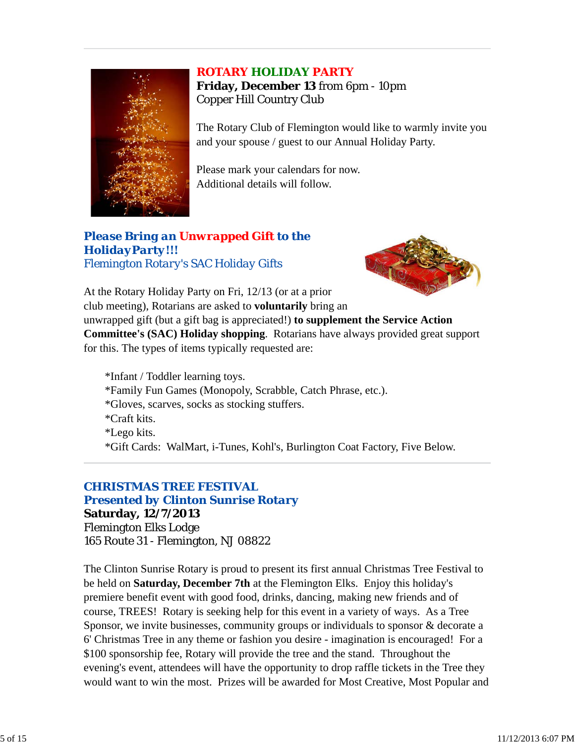#### *ROTARY HOLIDAY PARTY*



**Friday, December 13** from 6pm - 10pm Copper Hill Country Club

The Rotary Club of Flemington would like to warmly invite you and your spouse / guest to our Annual Holiday Party.

Please mark your calendars for now. Additional details will follow.

## *Please Bring an Unwrapped Gift to the HolidayParty!!! Flemington Rotary's SAC Holiday Gifts*



At the Rotary Holiday Party on Fri, 12/13 (or at a prior club meeting), Rotarians are asked to **voluntarily** bring an unwrapped gift (but a gift bag is appreciated!) **to supplement the Service Action Committee's (SAC) Holiday shopping**. Rotarians have always provided great support for this. The types of items typically requested are:

\*Infant / Toddler learning toys. \*Family Fun Games (Monopoly, Scrabble, Catch Phrase, etc.). \*Gloves, scarves, socks as stocking stuffers. \*Craft kits. \*Lego kits. \*Gift Cards: WalMart, i-Tunes, Kohl's, Burlington Coat Factory, Five Below.

# *CHRISTMAS TREE FESTIVAL*

#### *Presented by Clinton Sunrise Rotary*

**Saturday, 12/7/2013** Flemington Elks Lodge 165 Route 31 - Flemington, NJ 08822

The Clinton Sunrise Rotary is proud to present its first annual Christmas Tree Festival to be held on **Saturday, December 7th** at the Flemington Elks. Enjoy this holiday's premiere benefit event with good food, drinks, dancing, making new friends and of course, TREES! Rotary is seeking help for this event in a variety of ways. As a Tree Sponsor, we invite businesses, community groups or individuals to sponsor & decorate a 6' Christmas Tree in any theme or fashion you desire - imagination is encouraged! For a \$100 sponsorship fee, Rotary will provide the tree and the stand. Throughout the evening's event, attendees will have the opportunity to drop raffle tickets in the Tree they would want to win the most. Prizes will be awarded for Most Creative, Most Popular and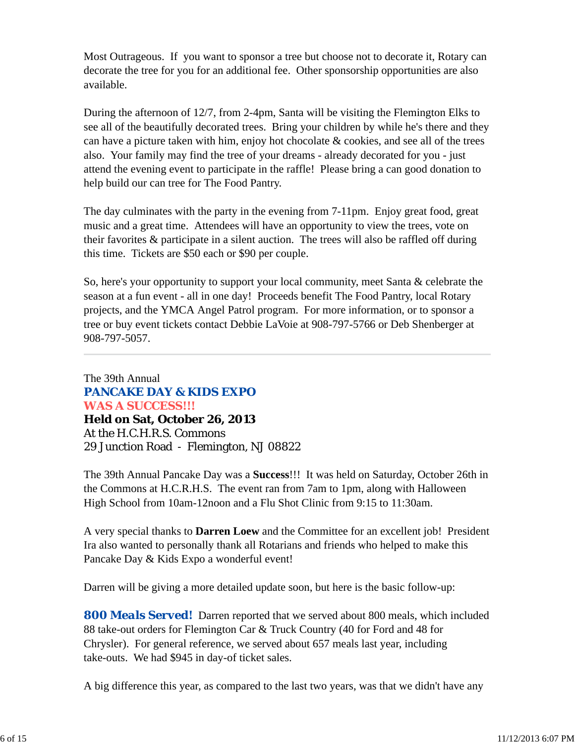Most Outrageous. If you want to sponsor a tree but choose not to decorate it, Rotary can decorate the tree for you for an additional fee. Other sponsorship opportunities are also available.

During the afternoon of 12/7, from 2-4pm, Santa will be visiting the Flemington Elks to see all of the beautifully decorated trees. Bring your children by while he's there and they can have a picture taken with him, enjoy hot chocolate & cookies, and see all of the trees also. Your family may find the tree of your dreams - already decorated for you - just attend the evening event to participate in the raffle! Please bring a can good donation to help build our can tree for The Food Pantry.

The day culminates with the party in the evening from 7-11pm. Enjoy great food, great music and a great time. Attendees will have an opportunity to view the trees, vote on their favorites & participate in a silent auction. The trees will also be raffled off during this time. Tickets are \$50 each or \$90 per couple.

So, here's your opportunity to support your local community, meet Santa & celebrate the season at a fun event - all in one day! Proceeds benefit The Food Pantry, local Rotary projects, and the YMCA Angel Patrol program. For more information, or to sponsor a tree or buy event tickets contact Debbie LaVoie at 908-797-5766 or Deb Shenberger at 908-797-5057.

The 39th Annual *PANCAKE DAY & KIDS EXPO WAS A SUCCESS!!!*  **Held on Sat, October 26, 2013** At the H.C.H.R.S. Commons 29 Junction Road - Flemington, NJ 08822

The 39th Annual Pancake Day was a **Success**!!! It was held on Saturday, October 26th in the Commons at H.C.R.H.S. The event ran from 7am to 1pm, along with Halloween High School from 10am-12noon and a Flu Shot Clinic from 9:15 to 11:30am.

A very special thanks to **Darren Loew** and the Committee for an excellent job! President Ira also wanted to personally thank all Rotarians and friends who helped to make this Pancake Day & Kids Expo a wonderful event!

Darren will be giving a more detailed update soon, but here is the basic follow-up:

*800 Meals Served!* Darren reported that we served about 800 meals, which included 88 take-out orders for Flemington Car & Truck Country (40 for Ford and 48 for Chrysler). For general reference, we served about 657 meals last year, including take-outs. We had \$945 in day-of ticket sales.

A big difference this year, as compared to the last two years, was that we didn't have any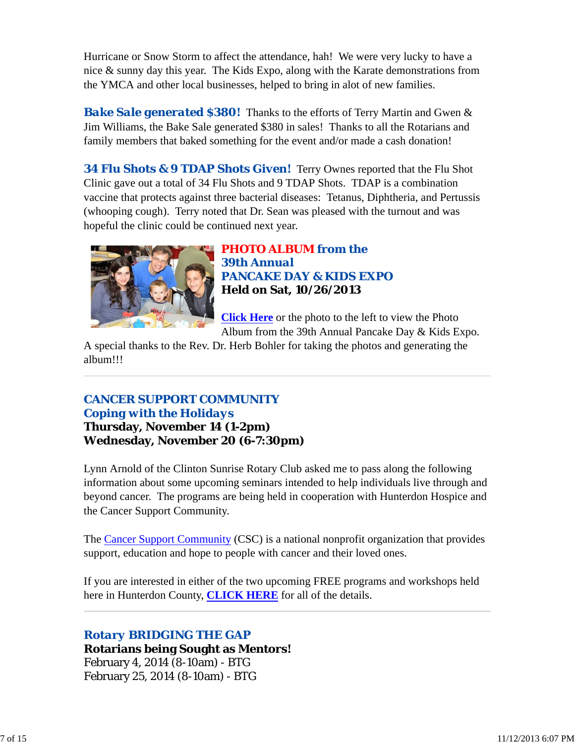Hurricane or Snow Storm to affect the attendance, hah! We were very lucky to have a nice & sunny day this year. The Kids Expo, along with the Karate demonstrations from the YMCA and other local businesses, helped to bring in alot of new families.

*Bake Sale generated \$380!* Thanks to the efforts of Terry Martin and Gwen & Jim Williams, the Bake Sale generated \$380 in sales! Thanks to all the Rotarians and family members that baked something for the event and/or made a cash donation!

*34 Flu Shots & 9 TDAP Shots Given!* Terry Ownes reported that the Flu Shot Clinic gave out a total of 34 Flu Shots and 9 TDAP Shots. TDAP is a combination vaccine that protects against three bacterial diseases: Tetanus, Diphtheria, and Pertussis (whooping cough). Terry noted that Dr. Sean was pleased with the turnout and was hopeful the clinic could be continued next year.



*PHOTO ALBUM from the 39th Annual PANCAKE DAY & KIDS EXPO* **Held on Sat, 10/26/2013**

**Click Here** or the photo to the left to view the Photo Album from the 39th Annual Pancake Day & Kids Expo.

A special thanks to the Rev. Dr. Herb Bohler for taking the photos and generating the album!!!

# *CANCER SUPPORT COMMUNITY Coping with the Holidays*

**Thursday, November 14 (1-2pm) Wednesday, November 20 (6-7:30pm)**

Lynn Arnold of the Clinton Sunrise Rotary Club asked me to pass along the following information about some upcoming seminars intended to help individuals live through and beyond cancer. The programs are being held in cooperation with Hunterdon Hospice and the Cancer Support Community.

The Cancer Support Community (CSC) is a national nonprofit organization that provides support, education and hope to people with cancer and their loved ones.

If you are interested in either of the two upcoming FREE programs and workshops held here in Hunterdon County, **CLICK HERE** for all of the details.

# *Rotary BRIDGING THE GAP*

**Rotarians being Sought as Mentors!** February 4, 2014 (8-10am) - BTG February 25, 2014 (8-10am) - BTG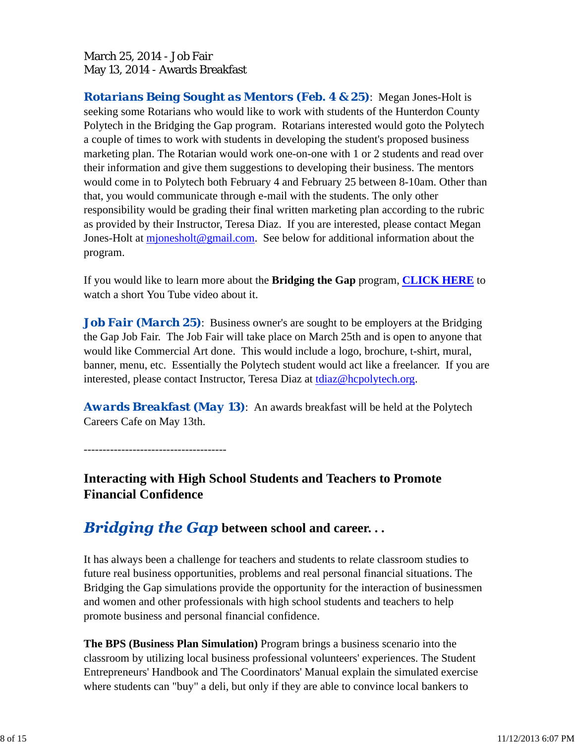## March 25, 2014 - Job Fair May 13, 2014 - Awards Breakfast

*Rotarians Being Sought as Mentors (Feb. 4 & 25)*: Megan Jones-Holt is seeking some Rotarians who would like to work with students of the Hunterdon County Polytech in the Bridging the Gap program. Rotarians interested would goto the Polytech a couple of times to work with students in developing the student's proposed business marketing plan. The Rotarian would work one-on-one with 1 or 2 students and read over their information and give them suggestions to developing their business. The mentors would come in to Polytech both February 4 and February 25 between 8-10am. Other than that, you would communicate through e-mail with the students. The only other responsibility would be grading their final written marketing plan according to the rubric as provided by their Instructor, Teresa Diaz. If you are interested, please contact Megan Jones-Holt at mjonesholt@gmail.com. See below for additional information about the program.

If you would like to learn more about the **Bridging the Gap** program, **CLICK HERE** to watch a short You Tube video about it.

*Job Fair (March 25)*: Business owner's are sought to be employers at the Bridging the Gap Job Fair. The Job Fair will take place on March 25th and is open to anyone that would like Commercial Art done. This would include a logo, brochure, t-shirt, mural, banner, menu, etc. Essentially the Polytech student would act like a freelancer. If you are interested, please contact Instructor, Teresa Diaz at tdiaz@hcpolytech.org.

*Awards Breakfast (May 13)*: An awards breakfast will be held at the Polytech Careers Cafe on May 13th.

--------------------------------------

**Interacting with High School Students and Teachers to Promote Financial Confidence**

# *Bridging the Gap* **between school and career...**

It has always been a challenge for teachers and students to relate classroom studies to future real business opportunities, problems and real personal financial situations. The Bridging the Gap simulations provide the opportunity for the interaction of businessmen and women and other professionals with high school students and teachers to help promote business and personal financial confidence.

**The BPS (Business Plan Simulation)** Program brings a business scenario into the classroom by utilizing local business professional volunteers' experiences. The Student Entrepreneurs' Handbook and The Coordinators' Manual explain the simulated exercise where students can "buy" a deli, but only if they are able to convince local bankers to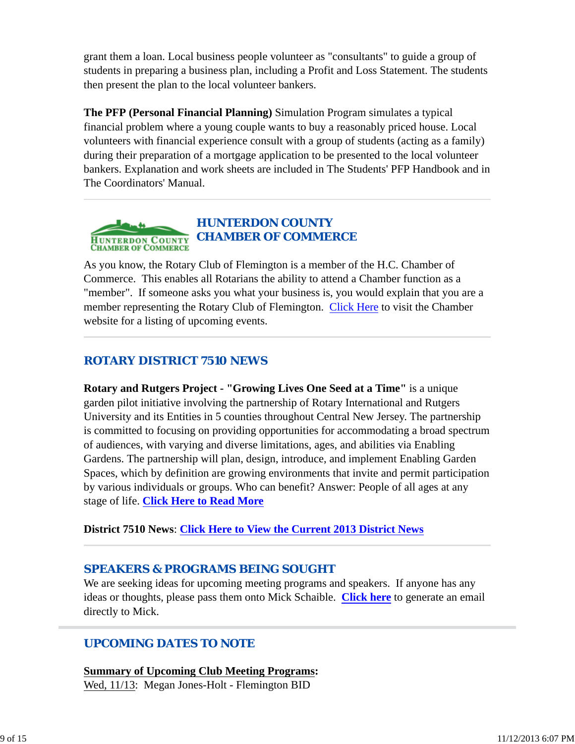grant them a loan. Local business people volunteer as "consultants" to guide a group of students in preparing a business plan, including a Profit and Loss Statement. The students then present the plan to the local volunteer bankers.

**The PFP (Personal Financial Planning)** Simulation Program simulates a typical financial problem where a young couple wants to buy a reasonably priced house. Local volunteers with financial experience consult with a group of students (acting as a family) during their preparation of a mortgage application to be presented to the local volunteer bankers. Explanation and work sheets are included in The Students' PFP Handbook and in The Coordinators' Manual.



As you know, the Rotary Club of Flemington is a member of the H.C. Chamber of Commerce. This enables all Rotarians the ability to attend a Chamber function as a "member". If someone asks you what your business is, you would explain that you are a member representing the Rotary Club of Flemington. Click Here to visit the Chamber website for a listing of upcoming events.

## *ROTARY DISTRICT 7510 NEWS*

**Rotary and Rutgers Project - "Growing Lives One Seed at a Time"** is a unique garden pilot initiative involving the partnership of Rotary International and Rutgers University and its Entities in 5 counties throughout Central New Jersey. The partnership is committed to focusing on providing opportunities for accommodating a broad spectrum of audiences, with varying and diverse limitations, ages, and abilities via Enabling Gardens. The partnership will plan, design, introduce, and implement Enabling Garden Spaces, which by definition are growing environments that invite and permit participation by various individuals or groups. Who can benefit? Answer: People of all ages at any stage of life. **Click Here to Read More**

**District 7510 News**: **Click Here to View the Current 2013 District News**

## *SPEAKERS & PROGRAMS BEING SOUGHT*

We are seeking ideas for upcoming meeting programs and speakers. If anyone has any ideas or thoughts, please pass them onto Mick Schaible. **Click here** to generate an email directly to Mick.

# *UPCOMING DATES TO NOTE*

**Summary of Upcoming Club Meeting Programs:** Wed, 11/13: Megan Jones-Holt - Flemington BID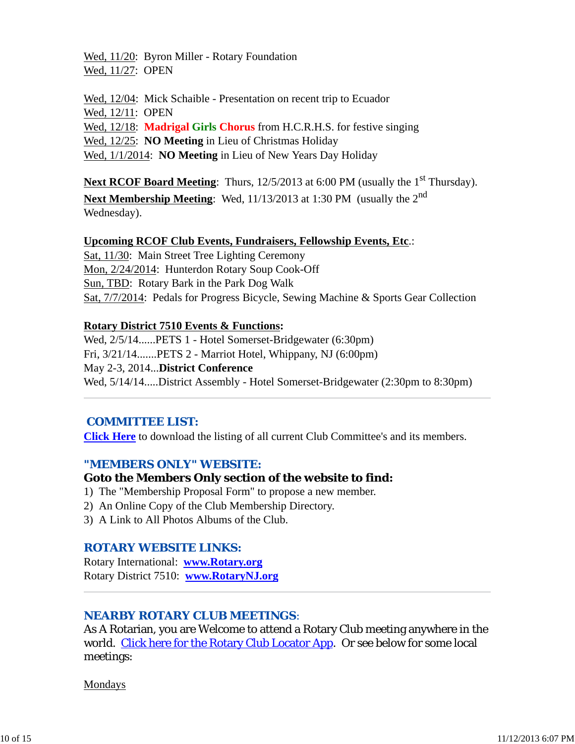Wed, 11/20: Byron Miller - Rotary Foundation Wed, 11/27: OPEN

Wed, 12/04: Mick Schaible - Presentation on recent trip to Ecuador Wed, 12/11: OPEN Wed, 12/18: **Madrigal Girls Chorus** from H.C.R.H.S. for festive singing Wed, 12/25: **NO Meeting** in Lieu of Christmas Holiday Wed, 1/1/2014: **NO Meeting** in Lieu of New Years Day Holiday

**Next RCOF Board Meeting**: Thurs, 12/5/2013 at 6:00 PM (usually the 1<sup>st</sup> Thursday).

**Next Membership Meeting**: Wed, 11/13/2013 at 1:30 PM (usually the 2nd Wednesday).

#### **Upcoming RCOF Club Events, Fundraisers, Fellowship Events, Etc**.:

Sat, 11/30: Main Street Tree Lighting Ceremony Mon, 2/24/2014: Hunterdon Rotary Soup Cook-Off Sun, TBD: Rotary Bark in the Park Dog Walk Sat, 7/7/2014: Pedals for Progress Bicycle, Sewing Machine & Sports Gear Collection

#### **Rotary District 7510 Events & Functions:**

Wed, 2/5/14......PETS 1 - Hotel Somerset-Bridgewater (6:30pm) Fri, 3/21/14.......PETS 2 - Marriot Hotel, Whippany, NJ (6:00pm) May 2-3, 2014...**District Conference** Wed, 5/14/14.....District Assembly - Hotel Somerset-Bridgewater (2:30pm to 8:30pm)

## *COMMITTEE LIST:*

**Click Here** to download the listing of all current Club Committee's and its members.

## *"MEMBERS ONLY" WEBSITE:*

## **Goto the Members Only section of the website to find:**

- 1) The "Membership Proposal Form" to propose a new member.
- 2) An Online Copy of the Club Membership Directory.
- 3) A Link to All Photos Albums of the Club.

## *ROTARY WEBSITE LINKS:*

Rotary International: **www.Rotary.org** Rotary District 7510: **www.RotaryNJ.org**

## *NEARBY ROTARY CLUB MEETINGS:*

As A Rotarian, you are Welcome to attend a Rotary Club meeting anywhere in the world. Click here for the Rotary Club Locator App. Or see below for some local meetings:

Mondays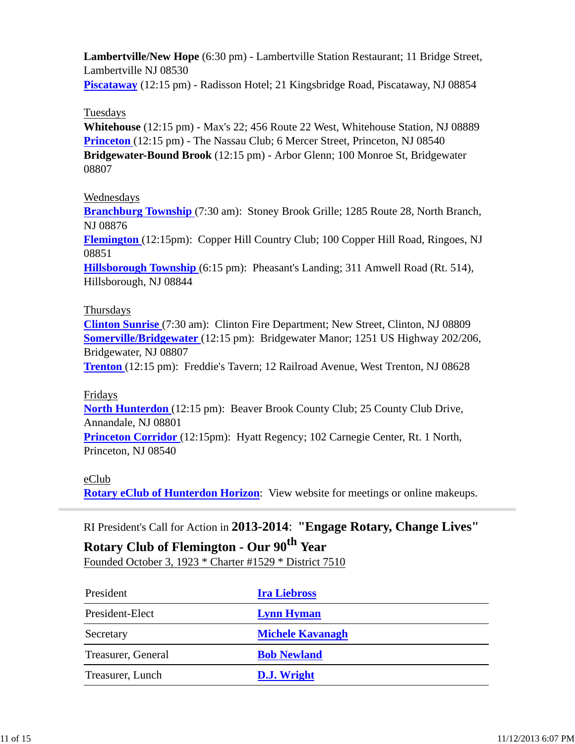**Lambertville/New Hope** (6:30 pm) - Lambertville Station Restaurant; 11 Bridge Street, Lambertville NJ 08530

**Piscataway** (12:15 pm) - Radisson Hotel; 21 Kingsbridge Road, Piscataway, NJ 08854

## Tuesdays

**Whitehouse** (12:15 pm) - Max's 22; 456 Route 22 West, Whitehouse Station, NJ 08889 **Princeton** (12:15 pm) - The Nassau Club; 6 Mercer Street, Princeton, NJ 08540 **Bridgewater-Bound Brook** (12:15 pm) - Arbor Glenn; 100 Monroe St, Bridgewater 08807

## Wednesdays

**Branchburg Township** (7:30 am): Stoney Brook Grille; 1285 Route 28, North Branch, NJ 08876

**Flemington** (12:15pm): Copper Hill Country Club; 100 Copper Hill Road, Ringoes, NJ 08851

**Hillsborough Township** (6:15 pm): Pheasant's Landing; 311 Amwell Road (Rt. 514), Hillsborough, NJ 08844

## Thursdays

**Clinton Sunrise** (7:30 am): Clinton Fire Department; New Street, Clinton, NJ 08809 **Somerville/Bridgewater** (12:15 pm): Bridgewater Manor; 1251 US Highway 202/206, Bridgewater, NJ 08807

**Trenton** (12:15 pm): Freddie's Tavern; 12 Railroad Avenue, West Trenton, NJ 08628

## Fridays

**North Hunterdon** (12:15 pm): Beaver Brook County Club; 25 County Club Drive, Annandale, NJ 08801

**Princeton Corridor** (12:15pm): Hyatt Regency; 102 Carnegie Center, Rt. 1 North, Princeton, NJ 08540

## eClub

**Rotary eClub of Hunterdon Horizon**: View website for meetings or online makeups.

RI President's Call for Action in **2013-2014**: **"Engage Rotary, Change Lives"**

# **Rotary Club of Flemington - Our 90th Year**

Founded October 3, 1923 \* Charter #1529 \* District 7510

| President          | <b>Ira Liebross</b>     |
|--------------------|-------------------------|
| President-Elect    | <b>Lynn Hyman</b>       |
| Secretary          | <b>Michele Kavanagh</b> |
| Treasurer, General | <b>Bob Newland</b>      |
| Treasurer, Lunch   | D.J. Wright             |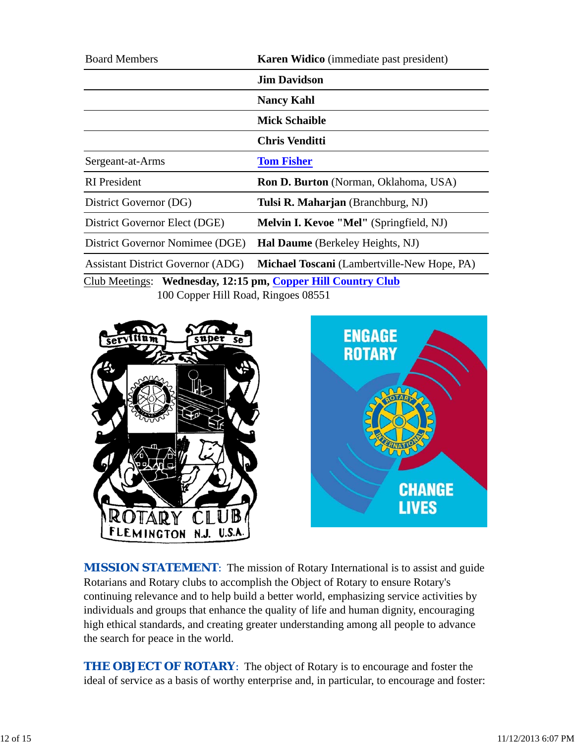| <b>Board Members</b>                                       | <b>Karen Widico</b> (immediate past president)     |
|------------------------------------------------------------|----------------------------------------------------|
|                                                            | <b>Jim Davidson</b>                                |
|                                                            | <b>Nancy Kahl</b>                                  |
|                                                            | <b>Mick Schaible</b>                               |
|                                                            | <b>Chris Venditti</b>                              |
| Sergeant-at-Arms                                           | <b>Tom Fisher</b>                                  |
| <b>RI</b> President                                        | <b>Ron D. Burton</b> (Norman, Oklahoma, USA)       |
| District Governor (DG)                                     | Tulsi R. Maharjan (Branchburg, NJ)                 |
| District Governor Elect (DGE)                              | <b>Melvin I. Kevoe "Mel"</b> (Springfield, NJ)     |
| District Governor Nomimee (DGE)                            | <b>Hal Daume</b> (Berkeley Heights, NJ)            |
| <b>Assistant District Governor (ADG)</b>                   | <b>Michael Toscani</b> (Lambertville-New Hope, PA) |
| Club Meetings: Wednesday 12:15 nm Conner Hill Country Club |                                                    |

Club Meetings: **Wednesday, 12:15 pm, Copper Hill Country Club** 100 Copper Hill Road, Ringoes 08551





**MISSION STATEMENT:** The mission of Rotary International is to assist and guide Rotarians and Rotary clubs to accomplish the Object of Rotary to ensure Rotary's continuing relevance and to help build a better world, emphasizing service activities by individuals and groups that enhance the quality of life and human dignity, encouraging high ethical standards, and creating greater understanding among all people to advance the search for peace in the world.

**THE OBJECT OF ROTARY:** The object of Rotary is to encourage and foster the ideal of service as a basis of worthy enterprise and, in particular, to encourage and foster: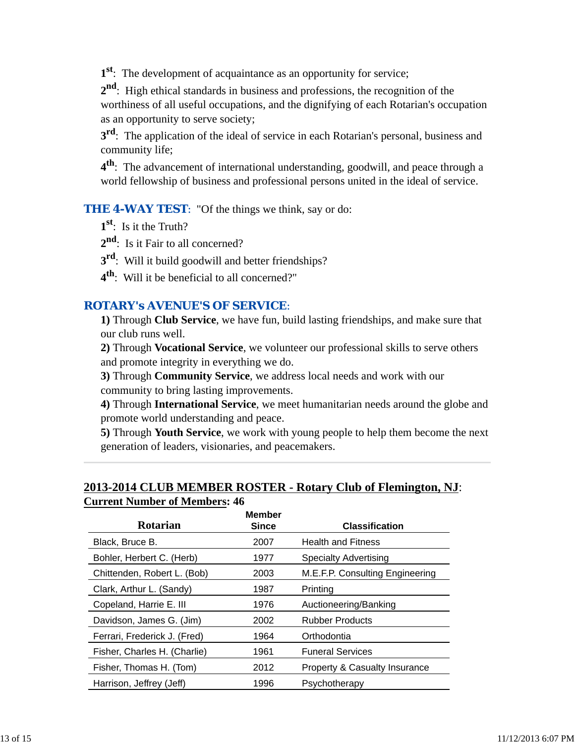**1st**: The development of acquaintance as an opportunity for service;

**2nd**: High ethical standards in business and professions, the recognition of the worthiness of all useful occupations, and the dignifying of each Rotarian's occupation as an opportunity to serve society;

**3<sup>rd</sup>**: The application of the ideal of service in each Rotarian's personal, business and community life;

**4th**: The advancement of international understanding, goodwill, and peace through a world fellowship of business and professional persons united in the ideal of service.

**THE 4-WAY TEST:** "Of the things we think, say or do:

- **1st**: Is it the Truth?
- 2<sup>nd</sup>: Is it Fair to all concerned?
- **3rd**: Will it build goodwill and better friendships?
- **4th**: Will it be beneficial to all concerned?"

## *ROTARY's AVENUE'S OF SERVICE*:

**1)** Through **Club Service**, we have fun, build lasting friendships, and make sure that our club runs well.

**2)** Through **Vocational Service**, we volunteer our professional skills to serve others and promote integrity in everything we do.

**3)** Through **Community Service**, we address local needs and work with our community to bring lasting improvements.

**4)** Through **International Service**, we meet humanitarian needs around the globe and promote world understanding and peace.

**5)** Through **Youth Service**, we work with young people to help them become the next generation of leaders, visionaries, and peacemakers.

## **2013-2014 CLUB MEMBER ROSTER - Rotary Club of Flemington, NJ**: **Current Number of Members: 46**

|                              | <b>Member</b> |                                 |
|------------------------------|---------------|---------------------------------|
| Rotarian                     | <b>Since</b>  | <b>Classification</b>           |
| Black, Bruce B.              | 2007          | <b>Health and Fitness</b>       |
| Bohler, Herbert C. (Herb)    | 1977          | <b>Specialty Advertising</b>    |
| Chittenden, Robert L. (Bob)  | 2003          | M.E.F.P. Consulting Engineering |
| Clark, Arthur L. (Sandy)     | 1987          | Printing                        |
| Copeland, Harrie E. III      | 1976          | Auctioneering/Banking           |
| Davidson, James G. (Jim)     | 2002          | <b>Rubber Products</b>          |
| Ferrari, Frederick J. (Fred) | 1964          | Orthodontia                     |
| Fisher, Charles H. (Charlie) | 1961          | <b>Funeral Services</b>         |
| Fisher, Thomas H. (Tom)      | 2012          | Property & Casualty Insurance   |
| Harrison, Jeffrey (Jeff)     | 1996          | Psychotherapy                   |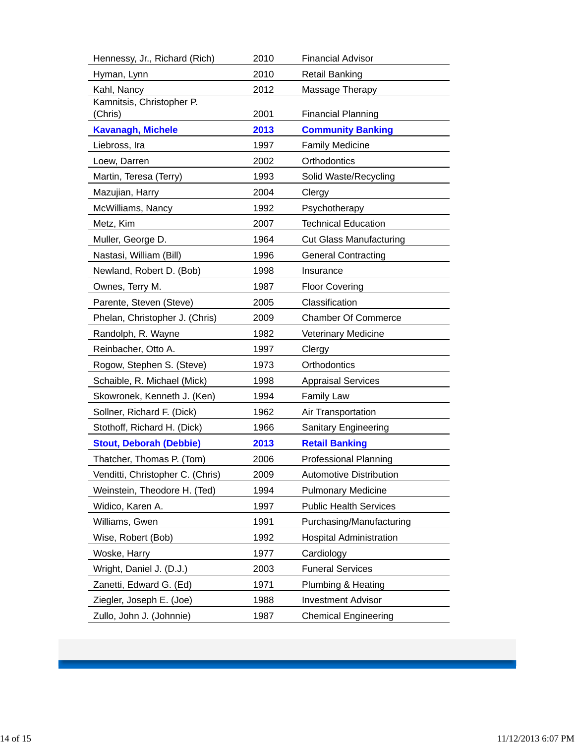| 2010<br><b>Retail Banking</b><br>Hyman, Lynn<br>Kahl, Nancy<br>2012<br>Massage Therapy<br>Kamnitsis, Christopher P.<br>(Chris)<br>2001<br><b>Financial Planning</b><br><b>Kavanagh, Michele</b><br>2013<br><b>Community Banking</b><br>Liebross, Ira<br>1997<br><b>Family Medicine</b><br>2002<br>Orthodontics<br>Loew, Darren<br>Martin, Teresa (Terry)<br>1993<br>Solid Waste/Recycling<br>2004<br>Mazujian, Harry<br>Clergy<br>McWilliams, Nancy<br>1992<br>Psychotherapy<br><b>Technical Education</b><br>Metz, Kim<br>2007<br>Muller, George D.<br>1964<br><b>Cut Glass Manufacturing</b><br>Nastasi, William (Bill)<br>1996<br><b>General Contracting</b><br>Newland, Robert D. (Bob)<br>1998<br>Insurance<br>Ownes, Terry M.<br>1987<br><b>Floor Covering</b><br>Classification<br>Parente, Steven (Steve)<br>2005 |
|---------------------------------------------------------------------------------------------------------------------------------------------------------------------------------------------------------------------------------------------------------------------------------------------------------------------------------------------------------------------------------------------------------------------------------------------------------------------------------------------------------------------------------------------------------------------------------------------------------------------------------------------------------------------------------------------------------------------------------------------------------------------------------------------------------------------------|
|                                                                                                                                                                                                                                                                                                                                                                                                                                                                                                                                                                                                                                                                                                                                                                                                                           |
|                                                                                                                                                                                                                                                                                                                                                                                                                                                                                                                                                                                                                                                                                                                                                                                                                           |
|                                                                                                                                                                                                                                                                                                                                                                                                                                                                                                                                                                                                                                                                                                                                                                                                                           |
|                                                                                                                                                                                                                                                                                                                                                                                                                                                                                                                                                                                                                                                                                                                                                                                                                           |
|                                                                                                                                                                                                                                                                                                                                                                                                                                                                                                                                                                                                                                                                                                                                                                                                                           |
|                                                                                                                                                                                                                                                                                                                                                                                                                                                                                                                                                                                                                                                                                                                                                                                                                           |
|                                                                                                                                                                                                                                                                                                                                                                                                                                                                                                                                                                                                                                                                                                                                                                                                                           |
|                                                                                                                                                                                                                                                                                                                                                                                                                                                                                                                                                                                                                                                                                                                                                                                                                           |
|                                                                                                                                                                                                                                                                                                                                                                                                                                                                                                                                                                                                                                                                                                                                                                                                                           |
|                                                                                                                                                                                                                                                                                                                                                                                                                                                                                                                                                                                                                                                                                                                                                                                                                           |
|                                                                                                                                                                                                                                                                                                                                                                                                                                                                                                                                                                                                                                                                                                                                                                                                                           |
|                                                                                                                                                                                                                                                                                                                                                                                                                                                                                                                                                                                                                                                                                                                                                                                                                           |
|                                                                                                                                                                                                                                                                                                                                                                                                                                                                                                                                                                                                                                                                                                                                                                                                                           |
|                                                                                                                                                                                                                                                                                                                                                                                                                                                                                                                                                                                                                                                                                                                                                                                                                           |
|                                                                                                                                                                                                                                                                                                                                                                                                                                                                                                                                                                                                                                                                                                                                                                                                                           |
|                                                                                                                                                                                                                                                                                                                                                                                                                                                                                                                                                                                                                                                                                                                                                                                                                           |
| Phelan, Christopher J. (Chris)<br>2009<br><b>Chamber Of Commerce</b>                                                                                                                                                                                                                                                                                                                                                                                                                                                                                                                                                                                                                                                                                                                                                      |
| Randolph, R. Wayne<br>1982<br>Veterinary Medicine                                                                                                                                                                                                                                                                                                                                                                                                                                                                                                                                                                                                                                                                                                                                                                         |
| Reinbacher, Otto A.<br>1997<br>Clergy                                                                                                                                                                                                                                                                                                                                                                                                                                                                                                                                                                                                                                                                                                                                                                                     |
| 1973<br>Orthodontics<br>Rogow, Stephen S. (Steve)                                                                                                                                                                                                                                                                                                                                                                                                                                                                                                                                                                                                                                                                                                                                                                         |
| Schaible, R. Michael (Mick)<br>1998<br><b>Appraisal Services</b>                                                                                                                                                                                                                                                                                                                                                                                                                                                                                                                                                                                                                                                                                                                                                          |
| Skowronek, Kenneth J. (Ken)<br><b>Family Law</b><br>1994                                                                                                                                                                                                                                                                                                                                                                                                                                                                                                                                                                                                                                                                                                                                                                  |
| Sollner, Richard F. (Dick)<br>1962<br>Air Transportation                                                                                                                                                                                                                                                                                                                                                                                                                                                                                                                                                                                                                                                                                                                                                                  |
| Stothoff, Richard H. (Dick)<br>1966<br>Sanitary Engineering                                                                                                                                                                                                                                                                                                                                                                                                                                                                                                                                                                                                                                                                                                                                                               |
| <b>Stout, Deborah (Debbie)</b><br><b>Retail Banking</b><br>2013                                                                                                                                                                                                                                                                                                                                                                                                                                                                                                                                                                                                                                                                                                                                                           |
| <b>Professional Planning</b><br>2006<br>Thatcher, Thomas P. (Tom)                                                                                                                                                                                                                                                                                                                                                                                                                                                                                                                                                                                                                                                                                                                                                         |
| Venditti, Christopher C. (Chris)<br>2009<br>Automotive Distribution                                                                                                                                                                                                                                                                                                                                                                                                                                                                                                                                                                                                                                                                                                                                                       |
| Weinstein, Theodore H. (Ted)<br>1994<br><b>Pulmonary Medicine</b>                                                                                                                                                                                                                                                                                                                                                                                                                                                                                                                                                                                                                                                                                                                                                         |
| Widico, Karen A.<br>1997<br><b>Public Health Services</b>                                                                                                                                                                                                                                                                                                                                                                                                                                                                                                                                                                                                                                                                                                                                                                 |
| Williams, Gwen<br>1991<br>Purchasing/Manufacturing                                                                                                                                                                                                                                                                                                                                                                                                                                                                                                                                                                                                                                                                                                                                                                        |
| 1992<br><b>Hospital Administration</b><br>Wise, Robert (Bob)                                                                                                                                                                                                                                                                                                                                                                                                                                                                                                                                                                                                                                                                                                                                                              |
| 1977<br>Woske, Harry<br>Cardiology                                                                                                                                                                                                                                                                                                                                                                                                                                                                                                                                                                                                                                                                                                                                                                                        |
| <b>Funeral Services</b><br>Wright, Daniel J. (D.J.)<br>2003                                                                                                                                                                                                                                                                                                                                                                                                                                                                                                                                                                                                                                                                                                                                                               |
| Zanetti, Edward G. (Ed)<br>1971<br>Plumbing & Heating                                                                                                                                                                                                                                                                                                                                                                                                                                                                                                                                                                                                                                                                                                                                                                     |
| Ziegler, Joseph E. (Joe)<br>1988<br><b>Investment Advisor</b>                                                                                                                                                                                                                                                                                                                                                                                                                                                                                                                                                                                                                                                                                                                                                             |
| 1987<br>Zullo, John J. (Johnnie)<br><b>Chemical Engineering</b>                                                                                                                                                                                                                                                                                                                                                                                                                                                                                                                                                                                                                                                                                                                                                           |